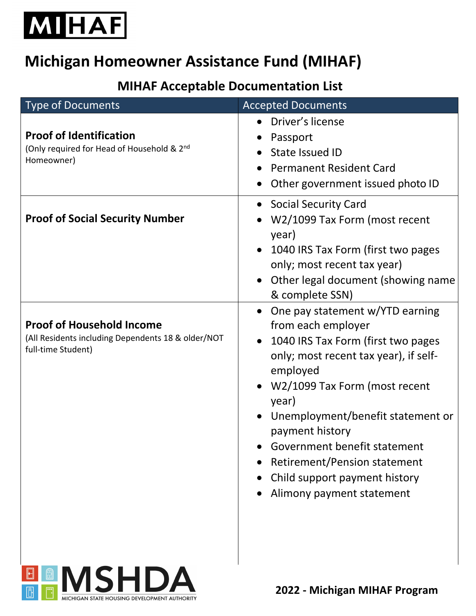

## **Michigan Homeowner Assistance Fund (MIHAF)**

## **MIHAF Acceptable Documentation List**

| <b>Type of Documents</b>                                                                                     | <b>Accepted Documents</b>                                                                                                                                                                                                                                                                                                                                                               |
|--------------------------------------------------------------------------------------------------------------|-----------------------------------------------------------------------------------------------------------------------------------------------------------------------------------------------------------------------------------------------------------------------------------------------------------------------------------------------------------------------------------------|
| <b>Proof of Identification</b><br>(Only required for Head of Household & 2nd<br>Homeowner)                   | • Driver's license<br>Passport<br>State Issued ID<br><b>Permanent Resident Card</b><br>Other government issued photo ID                                                                                                                                                                                                                                                                 |
| <b>Proof of Social Security Number</b>                                                                       | • Social Security Card<br>W2/1099 Tax Form (most recent<br>year)<br>1040 IRS Tax Form (first two pages<br>only; most recent tax year)<br>Other legal document (showing name<br>& complete SSN)                                                                                                                                                                                          |
| <b>Proof of Household Income</b><br>(All Residents including Dependents 18 & older/NOT<br>full-time Student) | One pay statement w/YTD earning<br>from each employer<br>1040 IRS Tax Form (first two pages<br>only; most recent tax year), if self-<br>employed<br>W2/1099 Tax Form (most recent<br>year)<br>Unemployment/benefit statement or<br>payment history<br>Government benefit statement<br><b>Retirement/Pension statement</b><br>Child support payment history<br>Alimony payment statement |